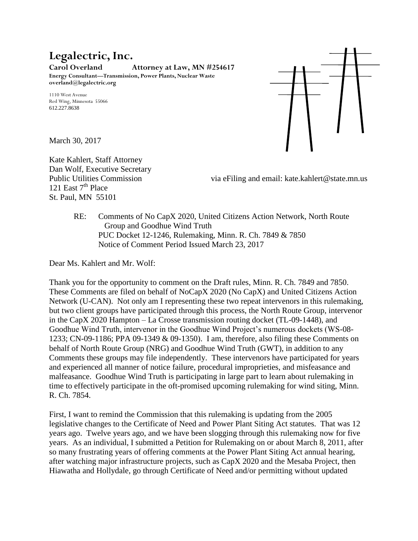# **Legalectric, Inc.**

**Carol Overland Attorney at Law, MN #254617 Energy Consultant—Transmission, Power Plants, Nuclear Waste overland@legalectric.org**

1110 West Avenue Red Wing, Minnesota 55066 612.227.8638

March 30, 2017

Kate Kahlert, Staff Attorney Dan Wolf, Executive Secretary 121 East  $7<sup>th</sup>$  Place St. Paul, MN 55101

Public Utilities Commission via eFiling and email: kate.kahlert@state.mn.us

RE: Comments of No CapX 2020, United Citizens Action Network, North Route Group and Goodhue Wind Truth PUC Docket 12-1246, Rulemaking, Minn. R. Ch. 7849 & 7850 Notice of Comment Period Issued March 23, 2017

Dear Ms. Kahlert and Mr. Wolf:

Thank you for the opportunity to comment on the Draft rules, Minn. R. Ch. 7849 and 7850. These Comments are filed on behalf of NoCapX 2020 (No CapX) and United Citizens Action Network (U-CAN). Not only am I representing these two repeat intervenors in this rulemaking, but two client groups have participated through this process, the North Route Group, intervenor in the CapX 2020 Hampton – La Crosse transmission routing docket (TL-09-1448), and Goodhue Wind Truth, intervenor in the Goodhue Wind Project's numerous dockets (WS-08- 1233; CN-09-1186; PPA 09-1349 & 09-1350). I am, therefore, also filing these Comments on behalf of North Route Group (NRG) and Goodhue Wind Truth (GWT), in addition to any Comments these groups may file independently. These intervenors have participated for years and experienced all manner of notice failure, procedural improprieties, and misfeasance and malfeasance. Goodhue Wind Truth is participating in large part to learn about rulemaking in time to effectively participate in the oft-promised upcoming rulemaking for wind siting, Minn. R. Ch. 7854.

First, I want to remind the Commission that this rulemaking is updating from the 2005 legislative changes to the Certificate of Need and Power Plant Siting Act statutes. That was 12 years ago. Twelve years ago, and we have been slogging through this rulemaking now for five years. As an individual, I submitted a Petition for Rulemaking on or about March 8, 2011, after so many frustrating years of offering comments at the Power Plant Siting Act annual hearing, after watching major infrastructure projects, such as CapX 2020 and the Mesaba Project, then Hiawatha and Hollydale, go through Certificate of Need and/or permitting without updated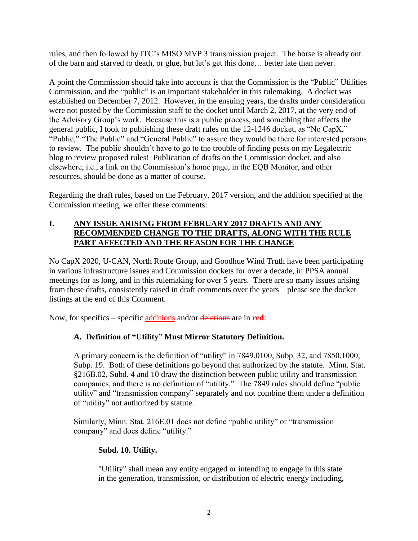rules, and then followed by ITC's MISO MVP 3 transmission project. The horse is already out of the barn and starved to death, or glue, but let's get this done… better late than never.

A point the Commission should take into account is that the Commission is the "Public" Utilities Commission, and the "public" is an important stakeholder in this rulemaking. A docket was established on December 7, 2012. However, in the ensuing years, the drafts under consideration were not posted by the Commission staff to the docket until March 2, 2017, at the very end of the Advisory Group's work. Because this is a public process, and something that affects the general public, I took to publishing these draft rules on the 12-1246 docket, as "No CapX," "Public," "The Public" and "General Public" to assure they would be there for interested persons to review. The public shouldn't have to go to the trouble of finding posts on my Legalectric blog to review proposed rules! Publication of drafts on the Commission docket, and also elsewhere, i.e., a link on the Commission's home page, in the EQB Monitor, and other resources, should be done as a matter of course.

Regarding the draft rules, based on the February, 2017 version, and the addition specified at the Commission meeting, we offer these comments:

#### **I. ANY ISSUE ARISING FROM FEBRUARY 2017 DRAFTS AND ANY RECOMMENDED CHANGE TO THE DRAFTS, ALONG WITH THE RULE PART AFFECTED AND THE REASON FOR THE CHANGE**

No CapX 2020, U-CAN, North Route Group, and Goodhue Wind Truth have been participating in various infrastructure issues and Commission dockets for over a decade, in PPSA annual meetings for as long, and in this rulemaking for over 5 years. There are so many issues arising from these drafts, consistently raised in draft comments over the years – please see the docket listings at the end of this Comment.

Now, for specifics – specific additions and/or deletions are in **red**:

# **A. Definition of "Utility" Must Mirror Statutory Definition.**

A primary concern is the definition of "utility" in 7849.0100, Subp. 32, and 7850.1000, Subp. 19. Both of these definitions go beyond that authorized by the statute. Minn. Stat. §216B.02, Subd. 4 and 10 draw the distinction between public utility and transmission companies, and there is no definition of "utility." The 7849 rules should define "public utility" and "transmission company" separately and not combine them under a definition of "utility" not authorized by statute.

Similarly, Minn. Stat. 216E.01 does not define "public utility" or "transmission company" and does define "utility."

#### **Subd. 10. Utility.**

"Utility" shall mean any entity engaged or intending to engage in this state in the generation, transmission, or distribution of electric energy including,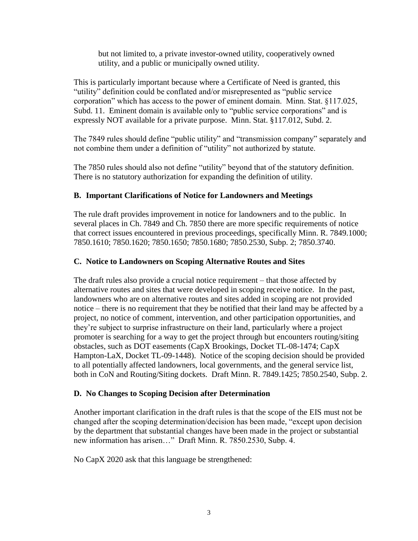but not limited to, a private investor-owned utility, cooperatively owned utility, and a public or municipally owned utility.

This is particularly important because where a Certificate of Need is granted, this "utility" definition could be conflated and/or misrepresented as "public service corporation" which has access to the power of eminent domain. Minn. Stat. §117.025, Subd. 11. Eminent domain is available only to "public service corporations" and is expressly NOT available for a private purpose. Minn. Stat. §117.012, Subd. 2.

The 7849 rules should define "public utility" and "transmission company" separately and not combine them under a definition of "utility" not authorized by statute.

The 7850 rules should also not define "utility" beyond that of the statutory definition. There is no statutory authorization for expanding the definition of utility.

### **B. Important Clarifications of Notice for Landowners and Meetings**

The rule draft provides improvement in notice for landowners and to the public. In several places in Ch. 7849 and Ch. 7850 there are more specific requirements of notice that correct issues encountered in previous proceedings, specifically Minn. R. 7849.1000; 7850.1610; 7850.1620; 7850.1650; 7850.1680; 7850.2530, Subp. 2; 7850.3740.

### **C. Notice to Landowners on Scoping Alternative Routes and Sites**

The draft rules also provide a crucial notice requirement – that those affected by alternative routes and sites that were developed in scoping receive notice. In the past, landowners who are on alternative routes and sites added in scoping are not provided notice – there is no requirement that they be notified that their land may be affected by a project, no notice of comment, intervention, and other participation opportunities, and they're subject to surprise infrastructure on their land, particularly where a project promoter is searching for a way to get the project through but encounters routing/siting obstacles, such as DOT easements (CapX Brookings, Docket TL-08-1474; CapX Hampton-LaX, Docket TL-09-1448). Notice of the scoping decision should be provided to all potentially affected landowners, local governments, and the general service list, both in CoN and Routing/Siting dockets. Draft Minn. R. 7849.1425; 7850.2540, Subp. 2.

#### **D. No Changes to Scoping Decision after Determination**

Another important clarification in the draft rules is that the scope of the EIS must not be changed after the scoping determination/decision has been made, "except upon decision by the department that substantial changes have been made in the project or substantial new information has arisen…" Draft Minn. R. 7850.2530, Subp. 4.

No CapX 2020 ask that this language be strengthened: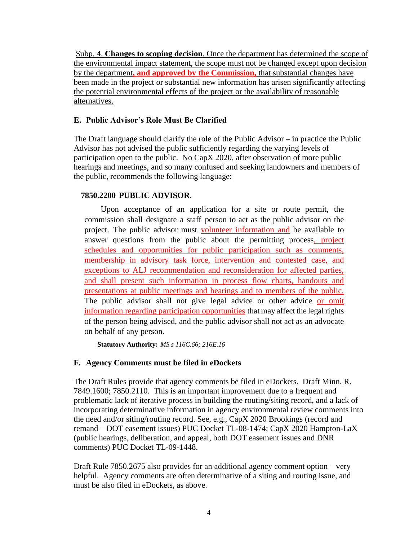Subp. 4. **Changes to scoping decision**. Once the department has determined the scope of the environmental impact statement, the scope must not be changed except upon decision by the department**, and approved by the Commission,** that substantial changes have been made in the project or substantial new information has arisen significantly affecting the potential environmental effects of the project or the availability of reasonable alternatives.

#### **E. Public Advisor's Role Must Be Clarified**

The Draft language should clarify the role of the Public Advisor – in practice the Public Advisor has not advised the public sufficiently regarding the varying levels of participation open to the public. No CapX 2020, after observation of more public hearings and meetings, and so many confused and seeking landowners and members of the public, recommends the following language:

#### **7850.2200 PUBLIC ADVISOR.**

Upon acceptance of an application for a site or route permit, the commission shall designate a staff person to act as the public advisor on the project. The public advisor must volunteer information and be available to answer questions from the public about the permitting process, project schedules and opportunities for public participation such as comments, membership in advisory task force, intervention and contested case, and exceptions to ALJ recommendation and reconsideration for affected parties, and shall present such information in process flow charts, handouts and presentations at public meetings and hearings and to members of the public. The public advisor shall not give legal advice or other advice or omit information regarding participation opportunities that may affect the legal rights of the person being advised, and the public advisor shall not act as an advocate on behalf of any person.

**Statutory Authority:** *MS s 116C.66; 216E.16*

# **F. Agency Comments must be filed in eDockets**

The Draft Rules provide that agency comments be filed in eDockets. Draft Minn. R. 7849.1600; 7850.2110. This is an important improvement due to a frequent and problematic lack of iterative process in building the routing/siting record, and a lack of incorporating determinative information in agency environmental review comments into the need and/or siting/routing record. See, e.g., CapX 2020 Brookings (record and remand – DOT easement issues) PUC Docket TL-08-1474; CapX 2020 Hampton-LaX (public hearings, deliberation, and appeal, both DOT easement issues and DNR comments) PUC Docket TL-09-1448.

Draft Rule 7850.2675 also provides for an additional agency comment option – very helpful. Agency comments are often determinative of a siting and routing issue, and must be also filed in eDockets, as above.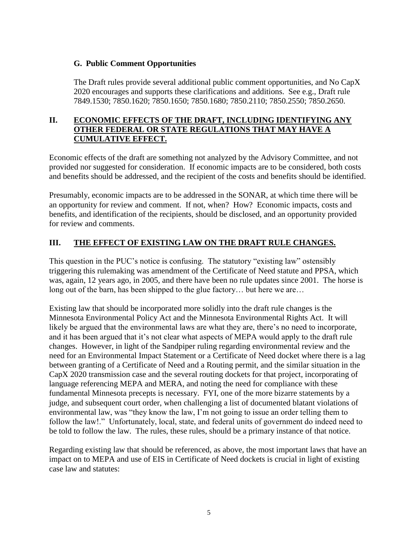#### **G. Public Comment Opportunities**

The Draft rules provide several additional public comment opportunities, and No CapX 2020 encourages and supports these clarifications and additions. See e.g., Draft rule 7849.1530; 7850.1620; 7850.1650; 7850.1680; 7850.2110; 7850.2550; 7850.2650.

#### **II. ECONOMIC EFFECTS OF THE DRAFT, INCLUDING IDENTIFYING ANY OTHER FEDERAL OR STATE REGULATIONS THAT MAY HAVE A CUMULATIVE EFFECT.**

Economic effects of the draft are something not analyzed by the Advisory Committee, and not provided nor suggested for consideration. If economic impacts are to be considered, both costs and benefits should be addressed, and the recipient of the costs and benefits should be identified.

Presumably, economic impacts are to be addressed in the SONAR, at which time there will be an opportunity for review and comment. If not, when? How? Economic impacts, costs and benefits, and identification of the recipients, should be disclosed, and an opportunity provided for review and comments.

# **III. THE EFFECT OF EXISTING LAW ON THE DRAFT RULE CHANGES.**

This question in the PUC's notice is confusing. The statutory "existing law" ostensibly triggering this rulemaking was amendment of the Certificate of Need statute and PPSA, which was, again, 12 years ago, in 2005, and there have been no rule updates since 2001. The horse is long out of the barn, has been shipped to the glue factory… but here we are…

Existing law that should be incorporated more solidly into the draft rule changes is the Minnesota Environmental Policy Act and the Minnesota Environmental Rights Act. It will likely be argued that the environmental laws are what they are, there's no need to incorporate, and it has been argued that it's not clear what aspects of MEPA would apply to the draft rule changes. However, in light of the Sandpiper ruling regarding environmental review and the need for an Environmental Impact Statement or a Certificate of Need docket where there is a lag between granting of a Certificate of Need and a Routing permit, and the similar situation in the CapX 2020 transmission case and the several routing dockets for that project, incorporating of language referencing MEPA and MERA, and noting the need for compliance with these fundamental Minnesota precepts is necessary. FYI, one of the more bizarre statements by a judge, and subsequent court order, when challenging a list of documented blatant violations of environmental law, was "they know the law, I'm not going to issue an order telling them to follow the law!." Unfortunately, local, state, and federal units of government do indeed need to be told to follow the law. The rules, these rules, should be a primary instance of that notice.

Regarding existing law that should be referenced, as above, the most important laws that have an impact on to MEPA and use of EIS in Certificate of Need dockets is crucial in light of existing case law and statutes: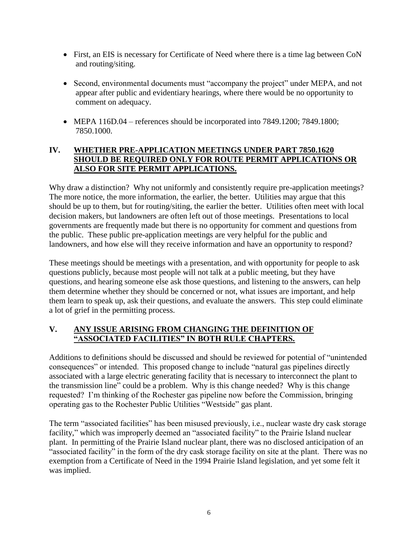- First, an EIS is necessary for Certificate of Need where there is a time lag between CoN and routing/siting.
- Second, environmental documents must "accompany the project" under MEPA, and not appear after public and evidentiary hearings, where there would be no opportunity to comment on adequacy.
- MEPA 116D.04 references should be incorporated into 7849.1200; 7849.1800; 7850.1000.

## **IV. WHETHER PRE-APPLICATION MEETINGS UNDER PART 7850.1620 SHOULD BE REQUIRED ONLY FOR ROUTE PERMIT APPLICATIONS OR ALSO FOR SITE PERMIT APPLICATIONS.**

Why draw a distinction? Why not uniformly and consistently require pre-application meetings? The more notice, the more information, the earlier, the better. Utilities may argue that this should be up to them, but for routing/siting, the earlier the better. Utilities often meet with local decision makers, but landowners are often left out of those meetings. Presentations to local governments are frequently made but there is no opportunity for comment and questions from the public. These public pre-application meetings are very helpful for the public and landowners, and how else will they receive information and have an opportunity to respond?

These meetings should be meetings with a presentation, and with opportunity for people to ask questions publicly, because most people will not talk at a public meeting, but they have questions, and hearing someone else ask those questions, and listening to the answers, can help them determine whether they should be concerned or not, what issues are important, and help them learn to speak up, ask their questions, and evaluate the answers. This step could eliminate a lot of grief in the permitting process.

### **V. ANY ISSUE ARISING FROM CHANGING THE DEFINITION OF "ASSOCIATED FACILITIES" IN BOTH RULE CHAPTERS.**

Additions to definitions should be discussed and should be reviewed for potential of "unintended consequences" or intended. This proposed change to include "natural gas pipelines directly associated with a large electric generating facility that is necessary to interconnect the plant to the transmission line" could be a problem. Why is this change needed? Why is this change requested? I'm thinking of the Rochester gas pipeline now before the Commission, bringing operating gas to the Rochester Public Utilities "Westside" gas plant.

The term "associated facilities" has been misused previously, i.e., nuclear waste dry cask storage facility," which was improperly deemed an "associated facility" to the Prairie Island nuclear plant. In permitting of the Prairie Island nuclear plant, there was no disclosed anticipation of an "associated facility" in the form of the dry cask storage facility on site at the plant. There was no exemption from a Certificate of Need in the 1994 Prairie Island legislation, and yet some felt it was implied.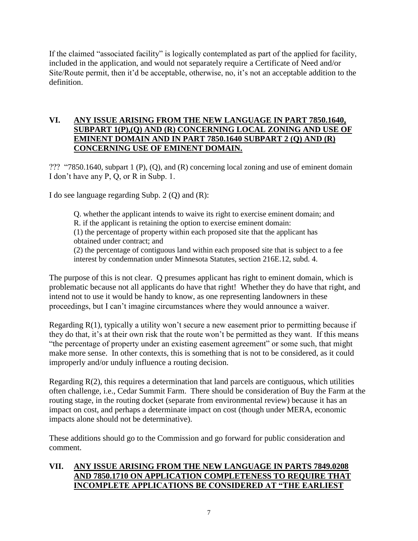If the claimed "associated facility" is logically contemplated as part of the applied for facility, included in the application, and would not separately require a Certificate of Need and/or Site/Route permit, then it'd be acceptable, otherwise, no, it's not an acceptable addition to the definition.

#### **VI. ANY ISSUE ARISING FROM THE NEW LANGUAGE IN PART 7850.1640, SUBPART 1(P),(Q) AND (R) CONCERNING LOCAL ZONING AND USE OF EMINENT DOMAIN AND IN PART 7850.1640 SUBPART 2 (Q) AND (R) CONCERNING USE OF EMINENT DOMAIN.**

??? "7850.1640, subpart 1 (P), (Q), and (R) concerning local zoning and use of eminent domain I don't have any P, Q, or R in Subp. 1.

I do see language regarding Subp. 2 (Q) and (R):

Q. whether the applicant intends to waive its right to exercise eminent domain; and R. if the applicant is retaining the option to exercise eminent domain: (1) the percentage of property within each proposed site that the applicant has obtained under contract; and (2) the percentage of contiguous land within each proposed site that is subject to a fee interest by condemnation under Minnesota Statutes, section 216E.12, subd. 4.

The purpose of this is not clear. Q presumes applicant has right to eminent domain, which is problematic because not all applicants do have that right! Whether they do have that right, and intend not to use it would be handy to know, as one representing landowners in these proceedings, but I can't imagine circumstances where they would announce a waiver.

Regarding R(1), typically a utility won't secure a new easement prior to permitting because if they do that, it's at their own risk that the route won't be permitted as they want. If this means "the percentage of property under an existing easement agreement" or some such, that might make more sense. In other contexts, this is something that is not to be considered, as it could improperly and/or unduly influence a routing decision.

Regarding  $R(2)$ , this requires a determination that land parcels are contiguous, which utilities often challenge, i.e., Cedar Summit Farm. There should be consideration of Buy the Farm at the routing stage, in the routing docket (separate from environmental review) because it has an impact on cost, and perhaps a determinate impact on cost (though under MERA, economic impacts alone should not be determinative).

These additions should go to the Commission and go forward for public consideration and comment.

#### **VII. ANY ISSUE ARISING FROM THE NEW LANGUAGE IN PARTS 7849.0208 AND 7850.1710 ON APPLICATION COMPLETENESS TO REQUIRE THAT INCOMPLETE APPLICATIONS BE CONSIDERED AT "THE EARLIEST**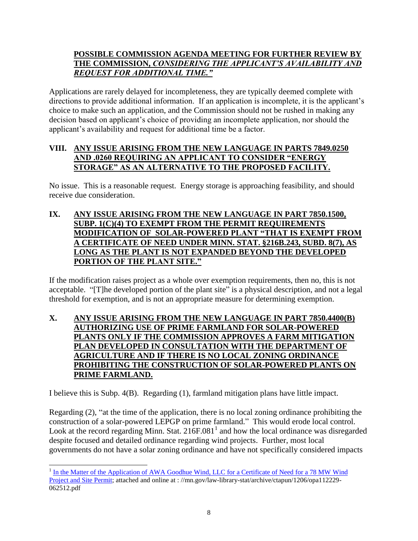#### **POSSIBLE COMMISSION AGENDA MEETING FOR FURTHER REVIEW BY THE COMMISSION,** *CONSIDERING THE APPLICANT'S AVAILABILITY AND REQUEST FOR ADDITIONAL TIME."*

Applications are rarely delayed for incompleteness, they are typically deemed complete with directions to provide additional information. If an application is incomplete, it is the applicant's choice to make such an application, and the Commission should not be rushed in making any decision based on applicant's choice of providing an incomplete application, nor should the applicant's availability and request for additional time be a factor.

#### **VIII. ANY ISSUE ARISING FROM THE NEW LANGUAGE IN PARTS 7849.0250 AND .0260 REQUIRING AN APPLICANT TO CONSIDER "ENERGY STORAGE" AS AN ALTERNATIVE TO THE PROPOSED FACILITY.**

No issue. This is a reasonable request. Energy storage is approaching feasibility, and should receive due consideration.

**IX. ANY ISSUE ARISING FROM THE NEW LANGUAGE IN PART 7850.1500, SUBP. 1(C)(4) TO EXEMPT FROM THE PERMIT REQUIREMENTS MODIFICATION OF SOLAR-POWERED PLANT "THAT IS EXEMPT FROM A CERTIFICATE OF NEED UNDER MINN. STAT. §216B.243, SUBD. 8(7), AS LONG AS THE PLANT IS NOT EXPANDED BEYOND THE DEVELOPED PORTION OF THE PLANT SITE."**

If the modification raises project as a whole over exemption requirements, then no, this is not acceptable. "[T]he developed portion of the plant site" is a physical description, and not a legal threshold for exemption, and is not an appropriate measure for determining exemption.

#### **X. ANY ISSUE ARISING FROM THE NEW LANGUAGE IN PART 7850.4400(B) AUTHORIZING USE OF PRIME FARMLAND FOR SOLAR-POWERED PLANTS ONLY IF THE COMMISSION APPROVES A FARM MITIGATION PLAN DEVELOPED IN CONSULTATION WITH THE DEPARTMENT OF AGRICULTURE AND IF THERE IS NO LOCAL ZONING ORDINANCE PROHIBITING THE CONSTRUCTION OF SOLAR-POWERED PLANTS ON PRIME FARMLAND.**

I believe this is Subp. 4(B). Regarding (1), farmland mitigation plans have little impact.

Regarding (2), "at the time of the application, there is no local zoning ordinance prohibiting the construction of a solar-powered LEPGP on prime farmland." This would erode local control. Look at the record regarding Minn. Stat.  $216F.081<sup>1</sup>$  and how the local ordinance was disregarded despite focused and detailed ordinance regarding wind projects. Further, most local governments do not have a solar zoning ordinance and have not specifically considered impacts

<sup>&</sup>lt;sup>1</sup> In the Matter of the Application of AWA Goodhue [Wind, LLC for a Certificate of Need for a 78 MW Wind](https://mn.gov/law-library-stat/archive/ctapun/1206/opa112229-062512.pdf) [Project and Site Permit;](https://mn.gov/law-library-stat/archive/ctapun/1206/opa112229-062512.pdf) attached and online at : //mn.gov/law-library-stat/archive/ctapun/1206/opa112229-062512.pdf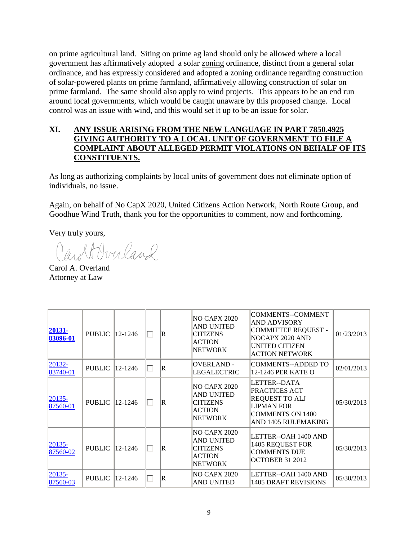on prime agricultural land. Siting on prime ag land should only be allowed where a local government has affirmatively adopted a solar zoning ordinance, distinct from a general solar ordinance, and has expressly considered and adopted a zoning ordinance regarding construction of solar-powered plants on prime farmland, affirmatively allowing construction of solar on prime farmland. The same should also apply to wind projects. This appears to be an end run around local governments, which would be caught unaware by this proposed change. Local control was an issue with wind, and this would set it up to be an issue for solar.

#### **XI. ANY ISSUE ARISING FROM THE NEW LANGUAGE IN PART 7850.4925 GIVING AUTHORITY TO A LOCAL UNIT OF GOVERNMENT TO FILE A COMPLAINT ABOUT ALLEGED PERMIT VIOLATIONS ON BEHALF OF ITS CONSTITUENTS.**

As long as authorizing complaints by local units of government does not eliminate option of individuals, no issue.

Again, on behalf of No CapX 2020, United Citizens Action Network, North Route Group, and Goodhue Wind Truth, thank you for the opportunities to comment, now and forthcoming.

Very truly yours,

Cartbucland

Carol A. Overland Attorney at Law

| 20131-<br>83096-01     | <b>PUBLIC</b> | 12-1246 | $\mathbf R$    | <b>NO CAPX 2020</b><br><b>AND UNITED</b><br><b>CITIZENS</b><br><b>ACTION</b><br><b>NETWORK</b> | <b>COMMENTS--COMMENT</b><br><b>AND ADVISORY</b><br><b>COMMITTEE REQUEST -</b><br>NOCAPX 2020 AND<br>UNITED CITIZEN<br><b>ACTION NETWORK</b> | 01/23/2013 |
|------------------------|---------------|---------|----------------|------------------------------------------------------------------------------------------------|---------------------------------------------------------------------------------------------------------------------------------------------|------------|
| 20132-<br>83740-01     | <b>PUBLIC</b> | 12-1246 | R              | <b>OVERLAND -</b><br>LEGALECTRIC                                                               | <b>COMMENTS--ADDED TO</b><br>12-1246 PER KATE O                                                                                             | 02/01/2013 |
| $ 20135 -$<br>87560-01 | <b>PUBLIC</b> | 12-1246 | $\mathsf R$    | <b>NO CAPX 2020</b><br><b>AND UNITED</b><br><b>CITIZENS</b><br><b>ACTION</b><br><b>NETWORK</b> | LETTER--DATA<br>PRACTICES ACT<br><b>REQUEST TO ALJ</b><br><b>LIPMAN FOR</b><br><b>COMMENTS ON 1400</b><br>AND 1405 RULEMAKING               | 05/30/2013 |
| $20135 -$<br>87560-02  | <b>PUBLIC</b> | 12-1246 | $\overline{R}$ | <b>NO CAPX 2020</b><br><b>AND UNITED</b><br><b>CITIZENS</b><br><b>ACTION</b><br><b>NETWORK</b> | LETTER--OAH 1400 AND<br><b>1405 REQUEST FOR</b><br><b>COMMENTS DUE</b><br><b>OCTOBER 31 2012</b>                                            | 05/30/2013 |
| 20135-<br>87560-03     | <b>PUBLIC</b> | 12-1246 | $\overline{R}$ | NO CAPX 2020<br>AND UNITED                                                                     | LETTER--OAH 1400 AND<br><b>1405 DRAFT REVISIONS</b>                                                                                         | 05/30/2013 |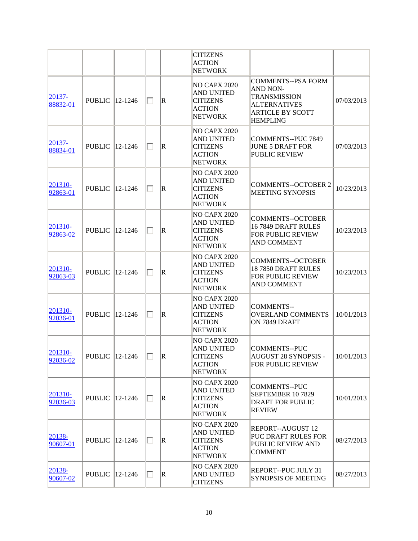|                        |                        |                          |              |                          | <b>CITIZENS</b><br><b>ACTION</b><br><b>NETWORK</b>                                             |                                                                                                                                          |            |
|------------------------|------------------------|--------------------------|--------------|--------------------------|------------------------------------------------------------------------------------------------|------------------------------------------------------------------------------------------------------------------------------------------|------------|
| $ 20137 -$<br>88832-01 | <b>PUBLIC</b>          | 12-1246                  | ⊓            | $\mathbb R$              | <b>NO CAPX 2020</b><br><b>AND UNITED</b><br><b>CITIZENS</b><br><b>ACTION</b><br><b>NETWORK</b> | <b>COMMENTS--PSA FORM</b><br><b>AND NON-</b><br><b>TRANSMISSION</b><br><b>ALTERNATIVES</b><br><b>ARTICLE BY SCOTT</b><br><b>HEMPLING</b> | 07/03/2013 |
| 20137-<br>88834-01     | <b>PUBLIC</b>  12-1246 |                          | ⊓            | R                        | <b>NO CAPX 2020</b><br><b>AND UNITED</b><br><b>CITIZENS</b><br><b>ACTION</b><br><b>NETWORK</b> | <b>COMMENTS--PUC 7849</b><br><b>JUNE 5 DRAFT FOR</b><br><b>PUBLIC REVIEW</b>                                                             | 07/03/2013 |
| 201310-<br>92863-01    | <b>PUBLIC</b>          | 12-1246                  | ⊓            | R                        | <b>NO CAPX 2020</b><br><b>AND UNITED</b><br><b>CITIZENS</b><br><b>ACTION</b><br><b>NETWORK</b> | <b>COMMENTS--OCTOBER 2</b><br>MEETING SYNOPSIS                                                                                           | 10/23/2013 |
| 201310-<br>92863-02    | <b>PUBLIC</b>          | 12-1246                  | П            | $\mathbb R$              | <b>NO CAPX 2020</b><br><b>AND UNITED</b><br><b>CITIZENS</b><br><b>ACTION</b><br><b>NETWORK</b> | <b>COMMENTS--OCTOBER</b><br>16 7849 DRAFT RULES<br>FOR PUBLIC REVIEW<br><b>AND COMMENT</b>                                               | 10/23/2013 |
| 201310-<br>92863-03    | <b>PUBLIC</b>          | 12-1246                  | П            | $\mathbb R$              | <b>NO CAPX 2020</b><br><b>AND UNITED</b><br><b>CITIZENS</b><br><b>ACTION</b><br><b>NETWORK</b> | <b>COMMENTS--OCTOBER</b><br>18 7850 DRAFT RULES<br>FOR PUBLIC REVIEW<br>AND COMMENT                                                      | 10/23/2013 |
| 201310-<br>92036-01    | <b>PUBLIC</b>          | 12-1246                  | ⊓            | $\vert \mathrm{R} \vert$ | <b>NO CAPX 2020</b><br><b>AND UNITED</b><br><b>CITIZENS</b><br><b>ACTION</b><br><b>NETWORK</b> | <b>COMMENTS--</b><br><b>OVERLAND COMMENTS</b><br>ON 7849 DRAFT                                                                           | 10/01/2013 |
| $ 201310-$<br>92036-02 |                        | PUBLIC $ 12-1246\rangle$ | IO.          | R                        | <b>NO CAPX 2020</b><br>AND UNITED<br><b>CITIZENS</b><br><b>ACTION</b><br><b>NETWORK</b>        | <b>COMMENTS--PUC</b><br>AUGUST 28 SYNOPSIS -<br>FOR PUBLIC REVIEW                                                                        | 10/01/2013 |
| 201310-<br>92036-03    | PUBLIC   12-1246       |                          | П            | R                        | <b>NO CAPX 2020</b><br>AND UNITED<br><b>CITIZENS</b><br>ACTION<br><b>NETWORK</b>               | <b>COMMENTS--PUC</b><br>SEPTEMBER 107829<br><b>DRAFT FOR PUBLIC</b><br><b>REVIEW</b>                                                     | 10/01/2013 |
| 20138-<br>90607-01     | <b>PUBLIC</b>          | 12-1246                  | H            | R.                       | <b>NO CAPX 2020</b><br>AND UNITED<br><b>CITIZENS</b><br><b>ACTION</b><br><b>NETWORK</b>        | <b>REPORT--AUGUST 12</b><br>PUC DRAFT RULES FOR<br>PUBLIC REVIEW AND<br><b>COMMENT</b>                                                   | 08/27/2013 |
| 20138-<br>90607-02     | <b>PUBLIC</b>          | $ 12 - 1246 $            | $\mathsf{L}$ | R                        | <b>NO CAPX 2020</b><br><b>AND UNITED</b><br><b>CITIZENS</b>                                    | REPORT--PUC JULY 31<br><b>SYNOPSIS OF MEETING</b>                                                                                        | 08/27/2013 |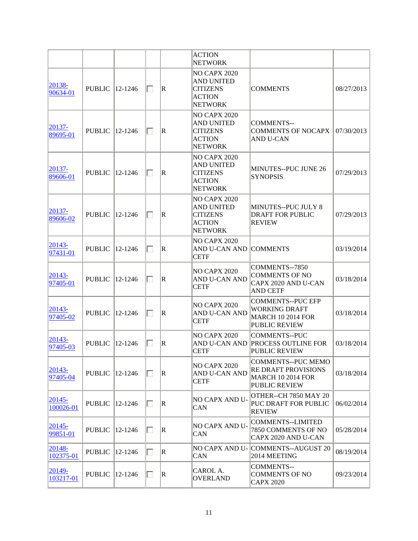|                         |               |               |              |             | <b>ACTION</b><br><b>NETWORK</b>                                                                |                                                                                                      |            |
|-------------------------|---------------|---------------|--------------|-------------|------------------------------------------------------------------------------------------------|------------------------------------------------------------------------------------------------------|------------|
| $20138 -$<br>90634-01   | <b>PUBLIC</b> | $ 12 - 1246$  | П            | $\mathbf R$ | <b>NO CAPX 2020</b><br><b>AND UNITED</b><br><b>CITIZENS</b><br><b>ACTION</b><br><b>NETWORK</b> | <b>COMMENTS</b>                                                                                      | 08/27/2013 |
| 20137-<br>89695-01      | <b>PUBLIC</b> | $ 12 - 1246$  | $\mathbf{L}$ | $\mathbf R$ | <b>NO CAPX 2020</b><br><b>AND UNITED</b><br><b>CITIZENS</b><br><b>ACTION</b><br><b>NETWORK</b> | <b>COMMENTS--</b><br><b>COMMENTS OF NOCAPX</b><br><b>AND U-CAN</b>                                   | 07/30/2013 |
| $20137 -$<br>89606-01   | <b>PUBLIC</b> | 12-1246       | U            | $\mathbf R$ | <b>NO CAPX 2020</b><br><b>AND UNITED</b><br><b>CITIZENS</b><br><b>ACTION</b><br><b>NETWORK</b> | MINUTES--PUC JUNE 26<br><b>SYNOPSIS</b>                                                              | 07/29/2013 |
| 20137-<br>89606-02      | <b>PUBLIC</b> | 12-1246       |              | $\mathbf R$ | <b>NO CAPX 2020</b><br><b>AND UNITED</b><br><b>CITIZENS</b><br><b>ACTION</b><br><b>NETWORK</b> | MINUTES--PUC JULY 8<br><b>DRAFT FOR PUBLIC</b><br><b>REVIEW</b>                                      | 07/29/2013 |
| $ 20143 -$<br>97431-01  | <b>PUBLIC</b> | 12-1246       | $\mathsf{L}$ | $\mathbf R$ | <b>NO CAPX 2020</b><br>AND U-CAN AND<br><b>CETF</b>                                            | <b>COMMENTS</b>                                                                                      | 03/19/2014 |
| $ 20143 -$<br>97405-01  | <b>PUBLIC</b> | 12-1246       | П            | $\mathbf R$ | <b>NO CAPX 2020</b><br>AND U-CAN AND<br><b>CETF</b>                                            | COMMENTS--7850<br><b>COMMENTS OF NO</b><br>CAPX 2020 AND U-CAN<br><b>AND CETF</b>                    | 03/18/2014 |
| 20143-<br>97405-02      | <b>PUBLIC</b> | 12-1246       |              | $\mathbf R$ | <b>NO CAPX 2020</b><br>AND U-CAN AND<br><b>CETF</b>                                            | <b>COMMENTS--PUC EFP</b><br><b>WORKING DRAFT</b><br><b>MARCH 10 2014 FOR</b><br><b>PUBLIC REVIEW</b> | 03/18/2014 |
| 20143-<br>97405-03      | <b>PUBLIC</b> | 12-1246       | $\mathsf{L}$ | $\mathbf R$ | <b>NO CAPX 2020</b><br>AND U-CAN AND<br><b>CETF</b>                                            | <b>COMMENTS--PUC</b><br><b>PROCESS OUTLINE FOR</b><br><b>PUBLIC REVIEW</b>                           | 03/18/2014 |
| 20143-<br>97405-04      | <b>PUBLIC</b> | $ 12 - 1246 $ | П            | $\mathbf R$ | <b>NO CAPX 2020</b><br><b>AND U-CAN AND</b><br><b>CETF</b>                                     | <b>COMMENTS--PUC MEMO</b><br>RE DRAFT PROVISIONS<br><b>MARCH 10 2014 FOR</b><br><b>PUBLIC REVIEW</b> | 03/18/2014 |
| $ 20145 -$<br>100026-01 | <b>PUBLIC</b> | 12-1246       | $\mathsf{L}$ | $\mathbf R$ | NO CAPX AND U-<br>CAN                                                                          | OTHER--CH 7850 MAY 20<br>PUC DRAFT FOR PUBLIC<br><b>REVIEW</b>                                       | 06/02/2014 |
| $ 20145 -$<br>99851-01  | <b>PUBLIC</b> | 12-1246       | П            | $\mathbf R$ | NO CAPX AND U-<br>CAN                                                                          | <b>COMMENTS--LIMITED</b><br>7850 COMMENTS OF NO<br>CAPX 2020 AND U-CAN                               | 05/28/2014 |
| 20148-<br>102375-01     | <b>PUBLIC</b> | 12-1246       | H            | R           | <b>NO CAPX AND U-</b><br>CAN                                                                   | COMMENTS--AUGUST 20<br>2014 MEETING                                                                  | 08/19/2014 |
| 20149-<br>103217-01     | <b>PUBLIC</b> | 12-1246       | $\mathbf{L}$ | $\mathbf R$ | CAROL A.<br><b>OVERLAND</b>                                                                    | <b>COMMENTS--</b><br><b>COMMENTS OF NO</b><br><b>CAPX 2020</b>                                       | 09/23/2014 |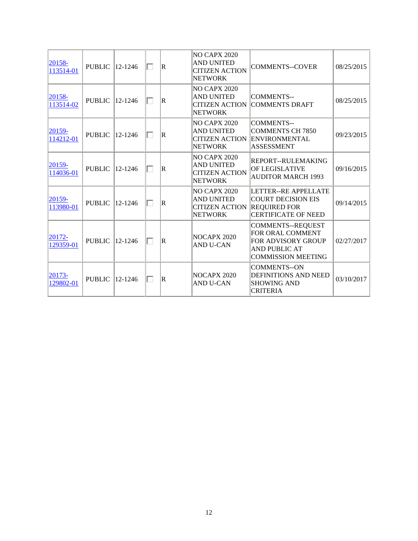| $ 20158-$<br>113514-01 | <b>PUBLIC</b>          | $ 12 - 1246$  | П | $\overline{\mathbf{R}}$ | <b>NO CAPX 2020</b><br><b>AND UNITED</b><br><b>CITIZEN ACTION</b><br><b>NETWORK</b> | <b>COMMENTS--COVER</b>                                                                                                  | 08/25/2015 |
|------------------------|------------------------|---------------|---|-------------------------|-------------------------------------------------------------------------------------|-------------------------------------------------------------------------------------------------------------------------|------------|
| $20158 -$<br>113514-02 | <b>PUBLIC</b>  12-1246 |               | п | $\overline{R}$          | <b>NO CAPX 2020</b><br><b>AND UNITED</b><br><b>CITIZEN ACTION</b><br><b>NETWORK</b> | <b>COMMENTS--</b><br>COMMENTS DRAFT                                                                                     | 08/25/2015 |
| $ 20159-$<br>114212-01 | <b>PUBLIC</b>          | $12 - 1246$   | П | $\overline{R}$          | <b>NO CAPX 2020</b><br><b>AND UNITED</b><br><b>CITIZEN ACTION</b><br><b>NETWORK</b> | <b>COMMENTS--</b><br><b>COMMENTS CH 7850</b><br><b>ENVIRONMENTAL</b><br><b>ASSESSMENT</b>                               | 09/23/2015 |
| $ 20159-$<br>114036-01 | <b>PUBLIC</b>          | 12-1246       |   | $\mathbf R$             | <b>NO CAPX 2020</b><br><b>AND UNITED</b><br><b>CITIZEN ACTION</b><br><b>NETWORK</b> | REPORT--RULEMAKING<br>OF LEGISLATIVE<br><b>AUDITOR MARCH 1993</b>                                                       | 09/16/2015 |
| $ 20159-$<br>113980-01 | <b>PUBLIC</b>          | $ 12 - 1246 $ |   | $\mathbf R$             | <b>NO CAPX 2020</b><br><b>AND UNITED</b><br><b>CITIZEN ACTION</b><br><b>NETWORK</b> | LETTER--RE APPELLATE<br><b>COURT DECISION EIS</b><br><b>REQUIRED FOR</b><br><b>CERTIFICATE OF NEED</b>                  | 09/14/2015 |
| 20172-<br>129359-01    | <b>PUBLIC</b>          | 12-1246       |   | $\overline{\mathbf{R}}$ | NOCAPX 2020<br><b>AND U-CAN</b>                                                     | <b>COMMENTS--REQUEST</b><br>FOR ORAL COMMENT<br>FOR ADVISORY GROUP<br><b>AND PUBLIC AT</b><br><b>COMMISSION MEETING</b> | 02/27/2017 |
| $ 20173-$<br>129802-01 | <b>PUBLIC</b>          | $12 - 1246$   | П | $\overline{R}$          | <b>NOCAPX 2020</b><br><b>AND U-CAN</b>                                              | <b>COMMENTS--ON</b><br>DEFINITIONS AND NEED<br><b>SHOWING AND</b><br><b>CRITERIA</b>                                    | 03/10/2017 |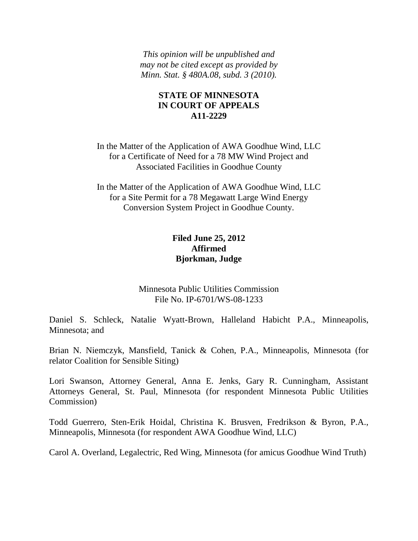*This opinion will be unpublished and may not be cited except as provided by Minn. Stat. § 480A.08, subd. 3 (2010).*

#### **STATE OF MINNESOTA IN COURT OF APPEALS A11-2229**

In the Matter of the Application of AWA Goodhue Wind, LLC for a Certificate of Need for a 78 MW Wind Project and Associated Facilities in Goodhue County

In the Matter of the Application of AWA Goodhue Wind, LLC for a Site Permit for a 78 Megawatt Large Wind Energy Conversion System Project in Goodhue County.

# **Filed June 25, 2012 Affirmed Bjorkman, Judge**

Minnesota Public Utilities Commission File No. IP-6701/WS-08-1233

Daniel S. Schleck, Natalie Wyatt-Brown, Halleland Habicht P.A., Minneapolis, Minnesota; and

Brian N. Niemczyk, Mansfield, Tanick & Cohen, P.A., Minneapolis, Minnesota (for relator Coalition for Sensible Siting)

Lori Swanson, Attorney General, Anna E. Jenks, Gary R. Cunningham, Assistant Attorneys General, St. Paul, Minnesota (for respondent Minnesota Public Utilities Commission)

Todd Guerrero, Sten-Erik Hoidal, Christina K. Brusven, Fredrikson & Byron, P.A., Minneapolis, Minnesota (for respondent AWA Goodhue Wind, LLC)

Carol A. Overland, Legalectric, Red Wing, Minnesota (for amicus Goodhue Wind Truth)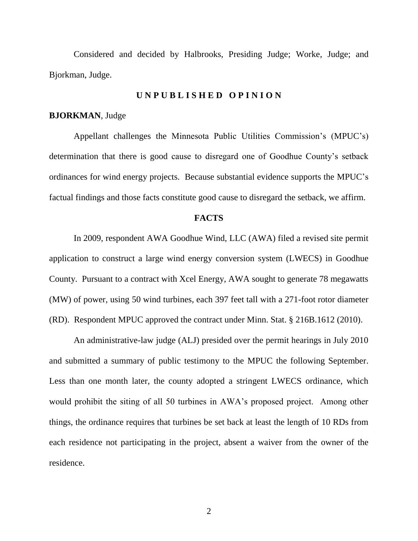Considered and decided by Halbrooks, Presiding Judge; Worke, Judge; and Bjorkman, Judge.

#### **U N P U B L I S H E D O P I N I O N**

#### **BJORKMAN**, Judge

Appellant challenges the Minnesota Public Utilities Commission's (MPUC's) determination that there is good cause to disregard one of Goodhue County's setback ordinances for wind energy projects. Because substantial evidence supports the MPUC's factual findings and those facts constitute good cause to disregard the setback, we affirm.

#### **FACTS**

In 2009, respondent AWA Goodhue Wind, LLC (AWA) filed a revised site permit application to construct a large wind energy conversion system (LWECS) in Goodhue County. Pursuant to a contract with Xcel Energy, AWA sought to generate 78 megawatts (MW) of power, using 50 wind turbines, each 397 feet tall with a 271-foot rotor diameter (RD). Respondent MPUC approved the contract under Minn. Stat. § 216B.1612 (2010).

An administrative-law judge (ALJ) presided over the permit hearings in July 2010 and submitted a summary of public testimony to the MPUC the following September. Less than one month later, the county adopted a stringent LWECS ordinance, which would prohibit the siting of all 50 turbines in AWA's proposed project. Among other things, the ordinance requires that turbines be set back at least the length of 10 RDs from each residence not participating in the project, absent a waiver from the owner of the residence.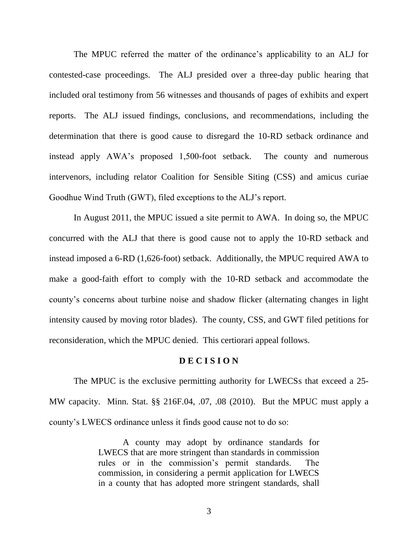The MPUC referred the matter of the ordinance's applicability to an ALJ for contested-case proceedings. The ALJ presided over a three-day public hearing that included oral testimony from 56 witnesses and thousands of pages of exhibits and expert reports. The ALJ issued findings, conclusions, and recommendations, including the determination that there is good cause to disregard the 10-RD setback ordinance and instead apply AWA's proposed 1,500-foot setback. The county and numerous intervenors, including relator Coalition for Sensible Siting (CSS) and amicus curiae Goodhue Wind Truth (GWT), filed exceptions to the ALJ's report.

In August 2011, the MPUC issued a site permit to AWA. In doing so, the MPUC concurred with the ALJ that there is good cause not to apply the 10-RD setback and instead imposed a 6-RD (1,626-foot) setback. Additionally, the MPUC required AWA to make a good-faith effort to comply with the 10-RD setback and accommodate the county's concerns about turbine noise and shadow flicker (alternating changes in light intensity caused by moving rotor blades). The county, CSS, and GWT filed petitions for reconsideration, which the MPUC denied. This certiorari appeal follows.

#### **D E C I S I O N**

The MPUC is the exclusive permitting authority for LWECSs that exceed a 25- MW capacity. Minn. Stat. §§ 216F.04, .07, .08 (2010). But the MPUC must apply a county's LWECS ordinance unless it finds good cause not to do so:

> A county may adopt by ordinance standards for LWECS that are more stringent than standards in commission rules or in the commission's permit standards. The commission, in considering a permit application for LWECS in a county that has adopted more stringent standards, shall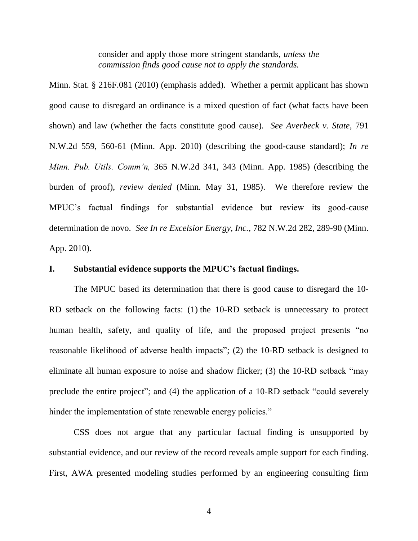consider and apply those more stringent standards, *unless the commission finds good cause not to apply the standards.*

Minn. Stat. § 216F.081 (2010) (emphasis added). Whether a permit applicant has shown good cause to disregard an ordinance is a mixed question of fact (what facts have been shown) and law (whether the facts constitute good cause). *See Averbeck v. State*, 791 N.W.2d 559, 560-61 (Minn. App. 2010) (describing the good-cause standard); *In re Minn. Pub. Utils. Comm'n,* 365 N.W.2d 341, 343 (Minn. App. 1985) (describing the burden of proof), *review denied* (Minn. May 31, 1985). We therefore review the MPUC's factual findings for substantial evidence but review its good-cause determination de novo. *See In re Excelsior Energy, Inc.*, 782 N.W.2d 282, 289-90 (Minn. App. 2010).

#### **I. Substantial evidence supports the MPUC's factual findings.**

The MPUC based its determination that there is good cause to disregard the 10- RD setback on the following facts: (1) the 10-RD setback is unnecessary to protect human health, safety, and quality of life, and the proposed project presents "no reasonable likelihood of adverse health impacts"; (2) the 10-RD setback is designed to eliminate all human exposure to noise and shadow flicker; (3) the 10-RD setback "may preclude the entire project"; and (4) the application of a 10-RD setback "could severely hinder the implementation of state renewable energy policies."

CSS does not argue that any particular factual finding is unsupported by substantial evidence, and our review of the record reveals ample support for each finding. First, AWA presented modeling studies performed by an engineering consulting firm

4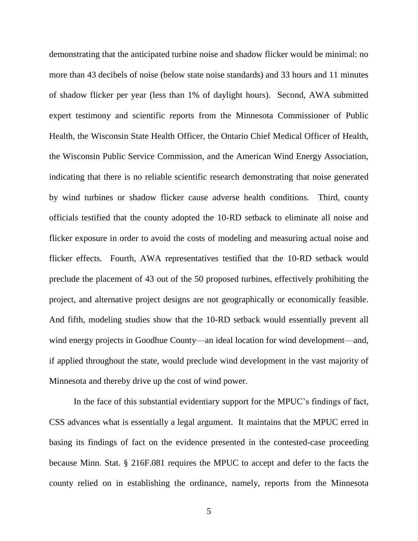demonstrating that the anticipated turbine noise and shadow flicker would be minimal: no more than 43 decibels of noise (below state noise standards) and 33 hours and 11 minutes of shadow flicker per year (less than 1% of daylight hours). Second, AWA submitted expert testimony and scientific reports from the Minnesota Commissioner of Public Health, the Wisconsin State Health Officer, the Ontario Chief Medical Officer of Health, the Wisconsin Public Service Commission, and the American Wind Energy Association, indicating that there is no reliable scientific research demonstrating that noise generated by wind turbines or shadow flicker cause adverse health conditions. Third, county officials testified that the county adopted the 10-RD setback to eliminate all noise and flicker exposure in order to avoid the costs of modeling and measuring actual noise and flicker effects. Fourth, AWA representatives testified that the 10-RD setback would preclude the placement of 43 out of the 50 proposed turbines, effectively prohibiting the project, and alternative project designs are not geographically or economically feasible. And fifth, modeling studies show that the 10-RD setback would essentially prevent all wind energy projects in Goodhue County—an ideal location for wind development—and, if applied throughout the state, would preclude wind development in the vast majority of Minnesota and thereby drive up the cost of wind power.

In the face of this substantial evidentiary support for the MPUC's findings of fact, CSS advances what is essentially a legal argument. It maintains that the MPUC erred in basing its findings of fact on the evidence presented in the contested-case proceeding because Minn. Stat. § 216F.081 requires the MPUC to accept and defer to the facts the county relied on in establishing the ordinance, namely, reports from the Minnesota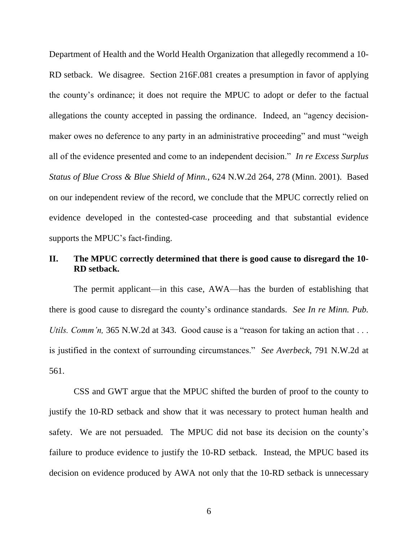Department of Health and the World Health Organization that allegedly recommend a 10- RD setback. We disagree. Section 216F.081 creates a presumption in favor of applying the county's ordinance; it does not require the MPUC to adopt or defer to the factual allegations the county accepted in passing the ordinance. Indeed, an "agency decisionmaker owes no deference to any party in an administrative proceeding" and must "weigh all of the evidence presented and come to an independent decision." *In re Excess Surplus Status of Blue Cross & Blue Shield of Minn.*, 624 N.W.2d 264, 278 (Minn. 2001). Based on our independent review of the record, we conclude that the MPUC correctly relied on evidence developed in the contested-case proceeding and that substantial evidence supports the MPUC's fact-finding.

## **II. The MPUC correctly determined that there is good cause to disregard the 10- RD setback.**

The permit applicant—in this case, AWA—has the burden of establishing that there is good cause to disregard the county's ordinance standards. *See In re Minn. Pub. Utils. Comm'n,* 365 N.W.2d at 343. Good cause is a "reason for taking an action that ... is justified in the context of surrounding circumstances." *See Averbeck*, 791 N.W.2d at 561.

CSS and GWT argue that the MPUC shifted the burden of proof to the county to justify the 10-RD setback and show that it was necessary to protect human health and safety. We are not persuaded. The MPUC did not base its decision on the county's failure to produce evidence to justify the 10-RD setback. Instead, the MPUC based its decision on evidence produced by AWA not only that the 10-RD setback is unnecessary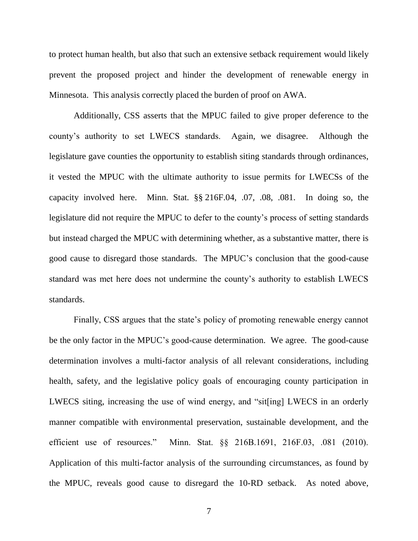to protect human health, but also that such an extensive setback requirement would likely prevent the proposed project and hinder the development of renewable energy in Minnesota. This analysis correctly placed the burden of proof on AWA.

Additionally, CSS asserts that the MPUC failed to give proper deference to the county's authority to set LWECS standards. Again, we disagree. Although the legislature gave counties the opportunity to establish siting standards through ordinances, it vested the MPUC with the ultimate authority to issue permits for LWECSs of the capacity involved here. Minn. Stat. §§ 216F.04, .07, .08, .081. In doing so, the legislature did not require the MPUC to defer to the county's process of setting standards but instead charged the MPUC with determining whether, as a substantive matter, there is good cause to disregard those standards. The MPUC's conclusion that the good-cause standard was met here does not undermine the county's authority to establish LWECS standards.

Finally, CSS argues that the state's policy of promoting renewable energy cannot be the only factor in the MPUC's good-cause determination. We agree. The good-cause determination involves a multi-factor analysis of all relevant considerations, including health, safety, and the legislative policy goals of encouraging county participation in LWECS siting, increasing the use of wind energy, and "sit[ing] LWECS in an orderly manner compatible with environmental preservation, sustainable development, and the efficient use of resources." Minn. Stat. §§ 216B.1691, 216F.03, .081 (2010). Application of this multi-factor analysis of the surrounding circumstances, as found by the MPUC, reveals good cause to disregard the 10-RD setback. As noted above,

7